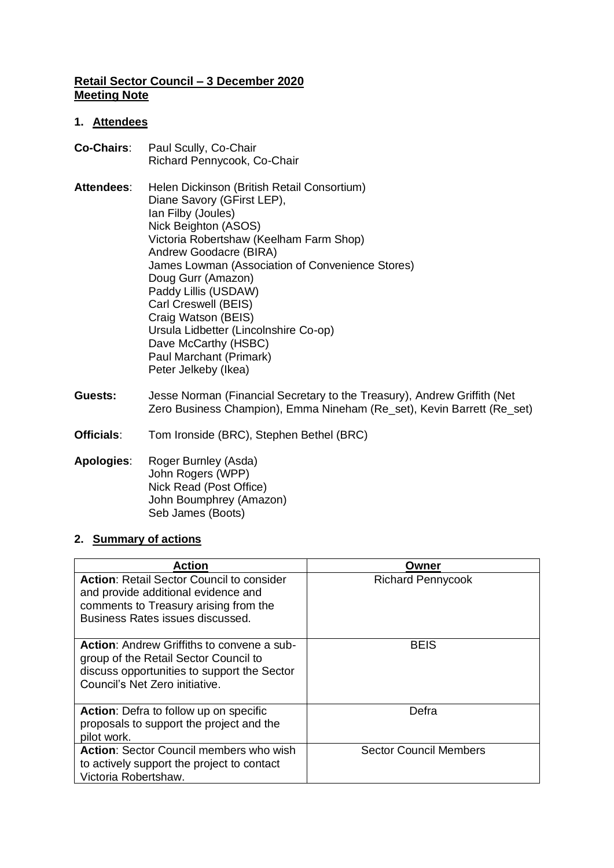## **Retail Sector Council – 3 December 2020 Meeting Note**

## **1. Attendees**

| <b>Co-Chairs:</b> | Paul Scully, Co-Chair<br>Richard Pennycook, Co-Chair                                                                                                                                                                                                                                                                                                                                                                                                              |
|-------------------|-------------------------------------------------------------------------------------------------------------------------------------------------------------------------------------------------------------------------------------------------------------------------------------------------------------------------------------------------------------------------------------------------------------------------------------------------------------------|
| <b>Attendees:</b> | Helen Dickinson (British Retail Consortium)<br>Diane Savory (GFirst LEP),<br>Ian Filby (Joules)<br>Nick Beighton (ASOS)<br>Victoria Robertshaw (Keelham Farm Shop)<br>Andrew Goodacre (BIRA)<br>James Lowman (Association of Convenience Stores)<br>Doug Gurr (Amazon)<br>Paddy Lillis (USDAW)<br>Carl Creswell (BEIS)<br>Craig Watson (BEIS)<br>Ursula Lidbetter (Lincolnshire Co-op)<br>Dave McCarthy (HSBC)<br>Paul Marchant (Primark)<br>Peter Jelkeby (Ikea) |

- **Guests:** Jesse Norman (Financial Secretary to the Treasury), Andrew Griffith (Net Zero Business Champion), Emma Nineham (Re\_set), Kevin Barrett (Re\_set)
- **Officials**: Tom Ironside (BRC), Stephen Bethel (BRC)

#### **Apologies**: Roger Burnley (Asda) John Rogers (WPP) Nick Read (Post Office) John Boumphrey (Amazon) Seb James (Boots)

# **2. Summary of actions**

| <b>Action</b>                                                                                                                                                               | Owner                         |
|-----------------------------------------------------------------------------------------------------------------------------------------------------------------------------|-------------------------------|
| <b>Action: Retail Sector Council to consider</b><br>and provide additional evidence and<br>comments to Treasury arising from the<br>Business Rates issues discussed.        | <b>Richard Pennycook</b>      |
| <b>Action:</b> Andrew Griffiths to convene a sub-<br>group of the Retail Sector Council to<br>discuss opportunities to support the Sector<br>Council's Net Zero initiative. | <b>BEIS</b>                   |
| Action: Defra to follow up on specific<br>proposals to support the project and the<br>pilot work.                                                                           | Defra                         |
| <b>Action: Sector Council members who wish</b><br>to actively support the project to contact<br>Victoria Robertshaw.                                                        | <b>Sector Council Members</b> |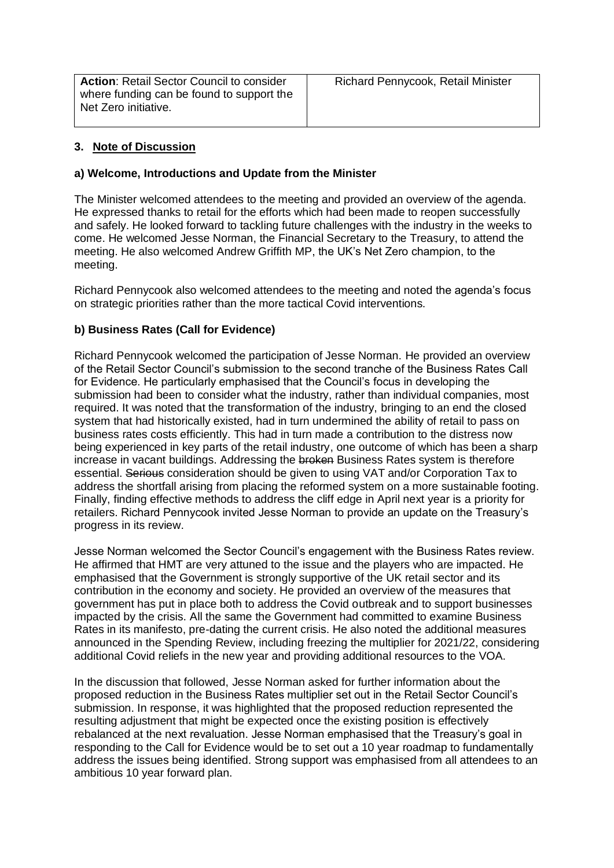**Action: Retail Sector Council to consider** where funding can be found to support the Net Zero initiative.

## **3. Note of Discussion**

#### **a) Welcome, Introductions and Update from the Minister**

The Minister welcomed attendees to the meeting and provided an overview of the agenda. He expressed thanks to retail for the efforts which had been made to reopen successfully and safely. He looked forward to tackling future challenges with the industry in the weeks to come. He welcomed Jesse Norman, the Financial Secretary to the Treasury, to attend the meeting. He also welcomed Andrew Griffith MP, the UK's Net Zero champion, to the meeting.

Richard Pennycook also welcomed attendees to the meeting and noted the agenda's focus on strategic priorities rather than the more tactical Covid interventions.

## **b) Business Rates (Call for Evidence)**

Richard Pennycook welcomed the participation of Jesse Norman. He provided an overview of the Retail Sector Council's submission to the second tranche of the Business Rates Call for Evidence. He particularly emphasised that the Council's focus in developing the submission had been to consider what the industry, rather than individual companies, most required. It was noted that the transformation of the industry, bringing to an end the closed system that had historically existed, had in turn undermined the ability of retail to pass on business rates costs efficiently. This had in turn made a contribution to the distress now being experienced in key parts of the retail industry, one outcome of which has been a sharp increase in vacant buildings. Addressing the broken Business Rates system is therefore essential. Serious consideration should be given to using VAT and/or Corporation Tax to address the shortfall arising from placing the reformed system on a more sustainable footing. Finally, finding effective methods to address the cliff edge in April next year is a priority for retailers. Richard Pennycook invited Jesse Norman to provide an update on the Treasury's progress in its review.

Jesse Norman welcomed the Sector Council's engagement with the Business Rates review. He affirmed that HMT are very attuned to the issue and the players who are impacted. He emphasised that the Government is strongly supportive of the UK retail sector and its contribution in the economy and society. He provided an overview of the measures that government has put in place both to address the Covid outbreak and to support businesses impacted by the crisis. All the same the Government had committed to examine Business Rates in its manifesto, pre-dating the current crisis. He also noted the additional measures announced in the Spending Review, including freezing the multiplier for 2021/22, considering additional Covid reliefs in the new year and providing additional resources to the VOA.

In the discussion that followed, Jesse Norman asked for further information about the proposed reduction in the Business Rates multiplier set out in the Retail Sector Council's submission. In response, it was highlighted that the proposed reduction represented the resulting adjustment that might be expected once the existing position is effectively rebalanced at the next revaluation. Jesse Norman emphasised that the Treasury's goal in responding to the Call for Evidence would be to set out a 10 year roadmap to fundamentally address the issues being identified. Strong support was emphasised from all attendees to an ambitious 10 year forward plan.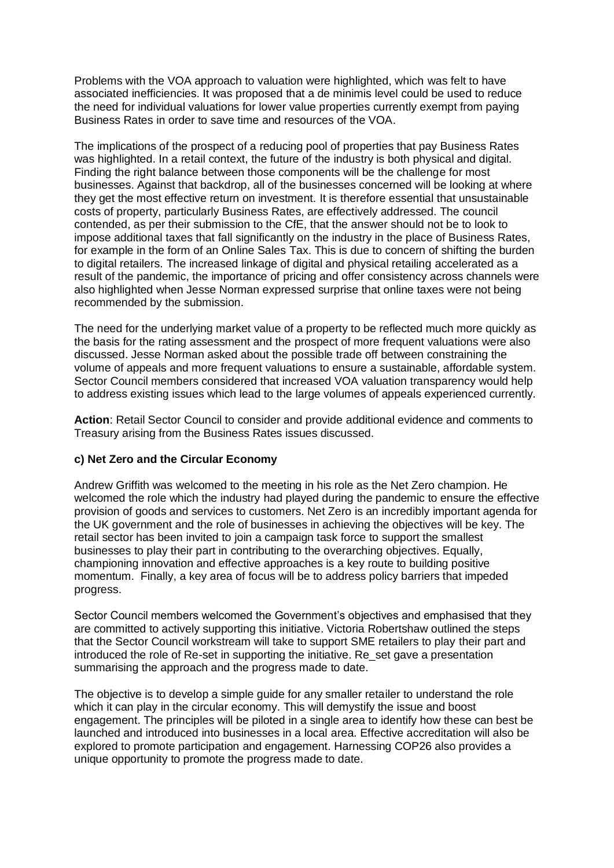Problems with the VOA approach to valuation were highlighted, which was felt to have associated inefficiencies. It was proposed that a de minimis level could be used to reduce the need for individual valuations for lower value properties currently exempt from paying Business Rates in order to save time and resources of the VOA.

The implications of the prospect of a reducing pool of properties that pay Business Rates was highlighted. In a retail context, the future of the industry is both physical and digital. Finding the right balance between those components will be the challenge for most businesses. Against that backdrop, all of the businesses concerned will be looking at where they get the most effective return on investment. It is therefore essential that unsustainable costs of property, particularly Business Rates, are effectively addressed. The council contended, as per their submission to the CfE, that the answer should not be to look to impose additional taxes that fall significantly on the industry in the place of Business Rates, for example in the form of an Online Sales Tax. This is due to concern of shifting the burden to digital retailers. The increased linkage of digital and physical retailing accelerated as a result of the pandemic, the importance of pricing and offer consistency across channels were also highlighted when Jesse Norman expressed surprise that online taxes were not being recommended by the submission.

The need for the underlying market value of a property to be reflected much more quickly as the basis for the rating assessment and the prospect of more frequent valuations were also discussed. Jesse Norman asked about the possible trade off between constraining the volume of appeals and more frequent valuations to ensure a sustainable, affordable system. Sector Council members considered that increased VOA valuation transparency would help to address existing issues which lead to the large volumes of appeals experienced currently.

**Action**: Retail Sector Council to consider and provide additional evidence and comments to Treasury arising from the Business Rates issues discussed.

## **c) Net Zero and the Circular Economy**

Andrew Griffith was welcomed to the meeting in his role as the Net Zero champion. He welcomed the role which the industry had played during the pandemic to ensure the effective provision of goods and services to customers. Net Zero is an incredibly important agenda for the UK government and the role of businesses in achieving the objectives will be key. The retail sector has been invited to join a campaign task force to support the smallest businesses to play their part in contributing to the overarching objectives. Equally, championing innovation and effective approaches is a key route to building positive momentum. Finally, a key area of focus will be to address policy barriers that impeded progress.

Sector Council members welcomed the Government's objectives and emphasised that they are committed to actively supporting this initiative. Victoria Robertshaw outlined the steps that the Sector Council workstream will take to support SME retailers to play their part and introduced the role of Re-set in supporting the initiative. Re\_set gave a presentation summarising the approach and the progress made to date.

The objective is to develop a simple guide for any smaller retailer to understand the role which it can play in the circular economy. This will demystify the issue and boost engagement. The principles will be piloted in a single area to identify how these can best be launched and introduced into businesses in a local area. Effective accreditation will also be explored to promote participation and engagement. Harnessing COP26 also provides a unique opportunity to promote the progress made to date.